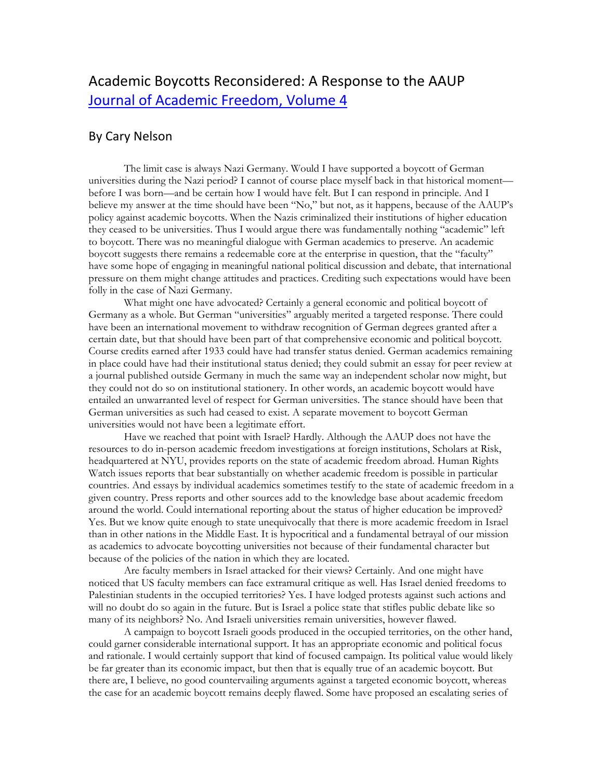## Academic Boycotts Reconsidered: A Response to the AAUP Journal of Academic Freedom, Volume 4

## By Cary Nelson

The limit case is always Nazi Germany. Would I have supported a boycott of German universities during the Nazi period? I cannot of course place myself back in that historical moment before I was born—and be certain how I would have felt. But I can respond in principle. And I believe my answer at the time should have been "No," but not, as it happens, because of the AAUP's policy against academic boycotts. When the Nazis criminalized their institutions of higher education they ceased to be universities. Thus I would argue there was fundamentally nothing "academic" left to boycott. There was no meaningful dialogue with German academics to preserve. An academic boycott suggests there remains a redeemable core at the enterprise in question, that the "faculty" have some hope of engaging in meaningful national political discussion and debate, that international pressure on them might change attitudes and practices. Crediting such expectations would have been folly in the case of Nazi Germany.

What might one have advocated? Certainly a general economic and political boycott of Germany as a whole. But German "universities" arguably merited a targeted response. There could have been an international movement to withdraw recognition of German degrees granted after a certain date, but that should have been part of that comprehensive economic and political boycott. Course credits earned after 1933 could have had transfer status denied. German academics remaining in place could have had their institutional status denied; they could submit an essay for peer review at a journal published outside Germany in much the same way an independent scholar now might, but they could not do so on institutional stationery. In other words, an academic boycott would have entailed an unwarranted level of respect for German universities. The stance should have been that German universities as such had ceased to exist. A separate movement to boycott German universities would not have been a legitimate effort.

Have we reached that point with Israel? Hardly. Although the AAUP does not have the resources to do in-person academic freedom investigations at foreign institutions, Scholars at Risk, headquartered at NYU, provides reports on the state of academic freedom abroad. Human Rights Watch issues reports that bear substantially on whether academic freedom is possible in particular countries. And essays by individual academics sometimes testify to the state of academic freedom in a given country. Press reports and other sources add to the knowledge base about academic freedom around the world. Could international reporting about the status of higher education be improved? Yes. But we know quite enough to state unequivocally that there is more academic freedom in Israel than in other nations in the Middle East. It is hypocritical and a fundamental betrayal of our mission as academics to advocate boycotting universities not because of their fundamental character but because of the policies of the nation in which they are located.

Are faculty members in Israel attacked for their views? Certainly. And one might have noticed that US faculty members can face extramural critique as well. Has Israel denied freedoms to Palestinian students in the occupied territories? Yes. I have lodged protests against such actions and will no doubt do so again in the future. But is Israel a police state that stifles public debate like so many of its neighbors? No. And Israeli universities remain universities, however flawed.

A campaign to boycott Israeli goods produced in the occupied territories, on the other hand, could garner considerable international support. It has an appropriate economic and political focus and rationale. I would certainly support that kind of focused campaign. Its political value would likely be far greater than its economic impact, but then that is equally true of an academic boycott. But there are, I believe, no good countervailing arguments against a targeted economic boycott, whereas the case for an academic boycott remains deeply flawed. Some have proposed an escalating series of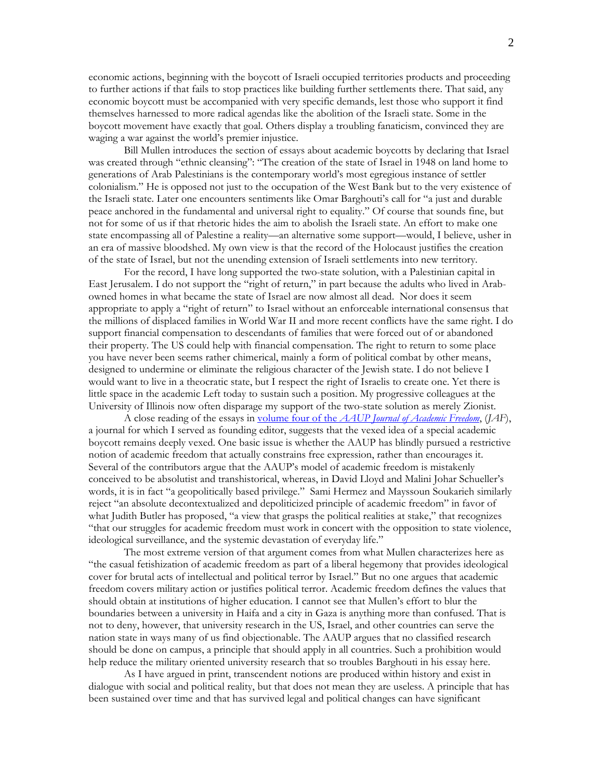economic actions, beginning with the boycott of Israeli occupied territories products and proceeding to further actions if that fails to stop practices like building further settlements there. That said, any economic boycott must be accompanied with very specific demands, lest those who support it find themselves harnessed to more radical agendas like the abolition of the Israeli state. Some in the boycott movement have exactly that goal. Others display a troubling fanaticism, convinced they are waging a war against the world's premier injustice.

Bill Mullen introduces the section of essays about academic boycotts by declaring that Israel was created through "ethnic cleansing": "The creation of the state of Israel in 1948 on land home to generations of Arab Palestinians is the contemporary world's most egregious instance of settler colonialism." He is opposed not just to the occupation of the West Bank but to the very existence of the Israeli state. Later one encounters sentiments like Omar Barghouti's call for "a just and durable peace anchored in the fundamental and universal right to equality." Of course that sounds fine, but not for some of us if that rhetoric hides the aim to abolish the Israeli state. An effort to make one state encompassing all of Palestine a reality—an alternative some support—would, I believe, usher in an era of massive bloodshed. My own view is that the record of the Holocaust justifies the creation of the state of Israel, but not the unending extension of Israeli settlements into new territory.

For the record, I have long supported the two-state solution, with a Palestinian capital in East Jerusalem. I do not support the "right of return," in part because the adults who lived in Arabowned homes in what became the state of Israel are now almost all dead. Nor does it seem appropriate to apply a "right of return" to Israel without an enforceable international consensus that the millions of displaced families in World War II and more recent conflicts have the same right. I do support financial compensation to descendants of families that were forced out of or abandoned their property. The US could help with financial compensation. The right to return to some place you have never been seems rather chimerical, mainly a form of political combat by other means, designed to undermine or eliminate the religious character of the Jewish state. I do not believe I would want to live in a theocratic state, but I respect the right of Israelis to create one. Yet there is little space in the academic Left today to sustain such a position. My progressive colleagues at the University of Illinois now often disparage my support of the two-state solution as merely Zionist.

A close reading of the essays in volume four of the *AAUP Journal of Academic Freedom*, (*JAF*), a journal for which I served as founding editor, suggests that the vexed idea of a special academic boycott remains deeply vexed. One basic issue is whether the AAUP has blindly pursued a restrictive notion of academic freedom that actually constrains free expression, rather than encourages it. Several of the contributors argue that the AAUP's model of academic freedom is mistakenly conceived to be absolutist and transhistorical, whereas, in David Lloyd and Malini Johar Schueller's words, it is in fact "a geopolitically based privilege." Sami Hermez and Mayssoun Soukarieh similarly reject "an absolute decontextualized and depoliticized principle of academic freedom" in favor of what Judith Butler has proposed, "a view that grasps the political realities at stake," that recognizes "that our struggles for academic freedom must work in concert with the opposition to state violence, ideological surveillance, and the systemic devastation of everyday life."

The most extreme version of that argument comes from what Mullen characterizes here as "the casual fetishization of academic freedom as part of a liberal hegemony that provides ideological cover for brutal acts of intellectual and political terror by Israel." But no one argues that academic freedom covers military action or justifies political terror. Academic freedom defines the values that should obtain at institutions of higher education. I cannot see that Mullen's effort to blur the boundaries between a university in Haifa and a city in Gaza is anything more than confused. That is not to deny, however, that university research in the US, Israel, and other countries can serve the nation state in ways many of us find objectionable. The AAUP argues that no classified research should be done on campus, a principle that should apply in all countries. Such a prohibition would help reduce the military oriented university research that so troubles Barghouti in his essay here.

As I have argued in print, transcendent notions are produced within history and exist in dialogue with social and political reality, but that does not mean they are useless. A principle that has been sustained over time and that has survived legal and political changes can have significant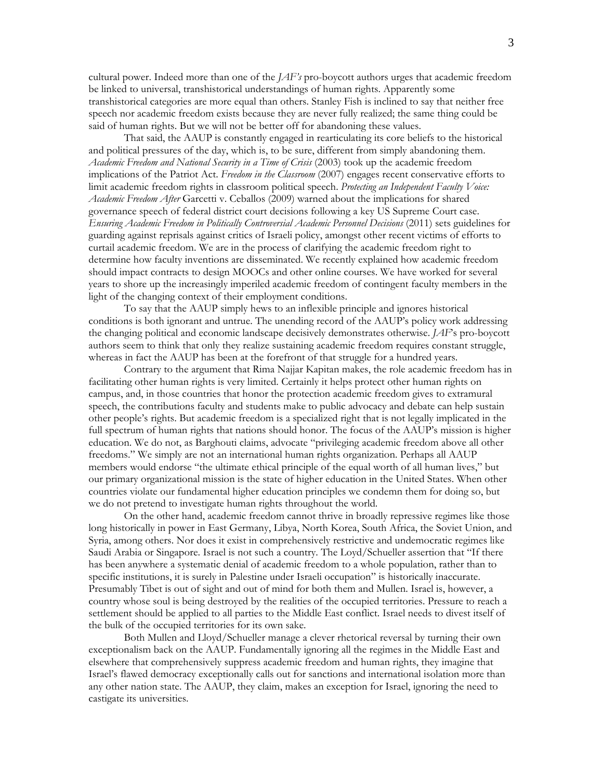cultural power. Indeed more than one of the *JAF's* pro-boycott authors urges that academic freedom be linked to universal, transhistorical understandings of human rights. Apparently some transhistorical categories are more equal than others. Stanley Fish is inclined to say that neither free speech nor academic freedom exists because they are never fully realized; the same thing could be said of human rights. But we will not be better off for abandoning these values.

That said, the AAUP is constantly engaged in rearticulating its core beliefs to the historical and political pressures of the day, which is, to be sure, different from simply abandoning them. *Academic Freedom and National Security in a Time of Crisis* (2003) took up the academic freedom implications of the Patriot Act. *Freedom in the Classroom* (2007) engages recent conservative efforts to limit academic freedom rights in classroom political speech. *Protecting an Independent Faculty Voice: Academic Freedom After* Garcetti v. Ceballos (2009) warned about the implications for shared governance speech of federal district court decisions following a key US Supreme Court case. *Ensuring Academic Freedom in Politically Controversial Academic Personnel Decisions* (2011) sets guidelines for guarding against reprisals against critics of Israeli policy, amongst other recent victims of efforts to curtail academic freedom. We are in the process of clarifying the academic freedom right to determine how faculty inventions are disseminated. We recently explained how academic freedom should impact contracts to design MOOCs and other online courses. We have worked for several years to shore up the increasingly imperiled academic freedom of contingent faculty members in the light of the changing context of their employment conditions.

To say that the AAUP simply hews to an inflexible principle and ignores historical conditions is both ignorant and untrue. The unending record of the AAUP's policy work addressing the changing political and economic landscape decisively demonstrates otherwise. *JAF*'s pro-boycott authors seem to think that only they realize sustaining academic freedom requires constant struggle, whereas in fact the AAUP has been at the forefront of that struggle for a hundred years.

Contrary to the argument that Rima Najjar Kapitan makes, the role academic freedom has in facilitating other human rights is very limited. Certainly it helps protect other human rights on campus, and, in those countries that honor the protection academic freedom gives to extramural speech, the contributions faculty and students make to public advocacy and debate can help sustain other people's rights. But academic freedom is a specialized right that is not legally implicated in the full spectrum of human rights that nations should honor. The focus of the AAUP's mission is higher education. We do not, as Barghouti claims, advocate "privileging academic freedom above all other freedoms." We simply are not an international human rights organization. Perhaps all AAUP members would endorse "the ultimate ethical principle of the equal worth of all human lives," but our primary organizational mission is the state of higher education in the United States. When other countries violate our fundamental higher education principles we condemn them for doing so, but we do not pretend to investigate human rights throughout the world.

On the other hand, academic freedom cannot thrive in broadly repressive regimes like those long historically in power in East Germany, Libya, North Korea, South Africa, the Soviet Union, and Syria, among others. Nor does it exist in comprehensively restrictive and undemocratic regimes like Saudi Arabia or Singapore. Israel is not such a country. The Loyd/Schueller assertion that "If there has been anywhere a systematic denial of academic freedom to a whole population, rather than to specific institutions, it is surely in Palestine under Israeli occupation" is historically inaccurate. Presumably Tibet is out of sight and out of mind for both them and Mullen. Israel is, however, a country whose soul is being destroyed by the realities of the occupied territories. Pressure to reach a settlement should be applied to all parties to the Middle East conflict. Israel needs to divest itself of the bulk of the occupied territories for its own sake.

Both Mullen and Lloyd/Schueller manage a clever rhetorical reversal by turning their own exceptionalism back on the AAUP. Fundamentally ignoring all the regimes in the Middle East and elsewhere that comprehensively suppress academic freedom and human rights, they imagine that Israel's flawed democracy exceptionally calls out for sanctions and international isolation more than any other nation state. The AAUP, they claim, makes an exception for Israel, ignoring the need to castigate its universities.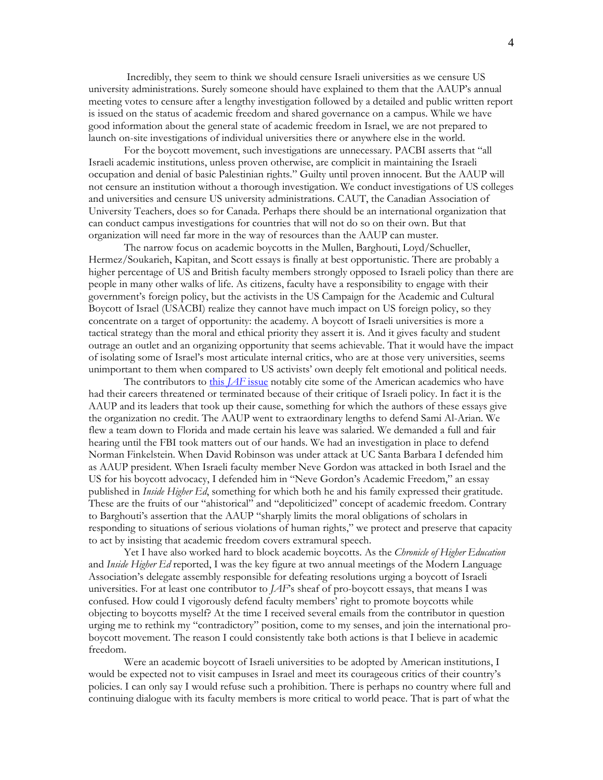Incredibly, they seem to think we should censure Israeli universities as we censure US university administrations. Surely someone should have explained to them that the AAUP's annual meeting votes to censure after a lengthy investigation followed by a detailed and public written report is issued on the status of academic freedom and shared governance on a campus. While we have good information about the general state of academic freedom in Israel, we are not prepared to launch on-site investigations of individual universities there or anywhere else in the world.

For the boycott movement, such investigations are unnecessary. PACBI asserts that "all Israeli academic institutions, unless proven otherwise, are complicit in maintaining the Israeli occupation and denial of basic Palestinian rights." Guilty until proven innocent. But the AAUP will not censure an institution without a thorough investigation. We conduct investigations of US colleges and universities and censure US university administrations. CAUT, the Canadian Association of University Teachers, does so for Canada. Perhaps there should be an international organization that can conduct campus investigations for countries that will not do so on their own. But that organization will need far more in the way of resources than the AAUP can muster.

The narrow focus on academic boycotts in the Mullen, Barghouti, Loyd/Schueller, Hermez/Soukarieh, Kapitan, and Scott essays is finally at best opportunistic. There are probably a higher percentage of US and British faculty members strongly opposed to Israeli policy than there are people in many other walks of life. As citizens, faculty have a responsibility to engage with their government's foreign policy, but the activists in the US Campaign for the Academic and Cultural Boycott of Israel (USACBI) realize they cannot have much impact on US foreign policy, so they concentrate on a target of opportunity: the academy. A boycott of Israeli universities is more a tactical strategy than the moral and ethical priority they assert it is. And it gives faculty and student outrage an outlet and an organizing opportunity that seems achievable. That it would have the impact of isolating some of Israel's most articulate internal critics, who are at those very universities, seems unimportant to them when compared to US activists' own deeply felt emotional and political needs.

The contributors to this *JAF* issue notably cite some of the American academics who have had their careers threatened or terminated because of their critique of Israeli policy. In fact it is the AAUP and its leaders that took up their cause, something for which the authors of these essays give the organization no credit. The AAUP went to extraordinary lengths to defend Sami Al-Arian. We flew a team down to Florida and made certain his leave was salaried. We demanded a full and fair hearing until the FBI took matters out of our hands. We had an investigation in place to defend Norman Finkelstein. When David Robinson was under attack at UC Santa Barbara I defended him as AAUP president. When Israeli faculty member Neve Gordon was attacked in both Israel and the US for his boycott advocacy, I defended him in "Neve Gordon's Academic Freedom," an essay published in *Inside Higher Ed*, something for which both he and his family expressed their gratitude. These are the fruits of our "ahistorical" and "depoliticized" concept of academic freedom. Contrary to Barghouti's assertion that the AAUP "sharply limits the moral obligations of scholars in responding to situations of serious violations of human rights," we protect and preserve that capacity to act by insisting that academic freedom covers extramural speech.

Yet I have also worked hard to block academic boycotts. As the *Chronicle of Higher Education* and *Inside Higher Ed* reported, I was the key figure at two annual meetings of the Modern Language Association's delegate assembly responsible for defeating resolutions urging a boycott of Israeli universities. For at least one contributor to *JAF*'s sheaf of pro-boycott essays, that means I was confused. How could I vigorously defend faculty members' right to promote boycotts while objecting to boycotts myself? At the time I received several emails from the contributor in question urging me to rethink my "contradictory" position, come to my senses, and join the international proboycott movement. The reason I could consistently take both actions is that I believe in academic freedom.

Were an academic boycott of Israeli universities to be adopted by American institutions, I would be expected not to visit campuses in Israel and meet its courageous critics of their country's policies. I can only say I would refuse such a prohibition. There is perhaps no country where full and continuing dialogue with its faculty members is more critical to world peace. That is part of what the